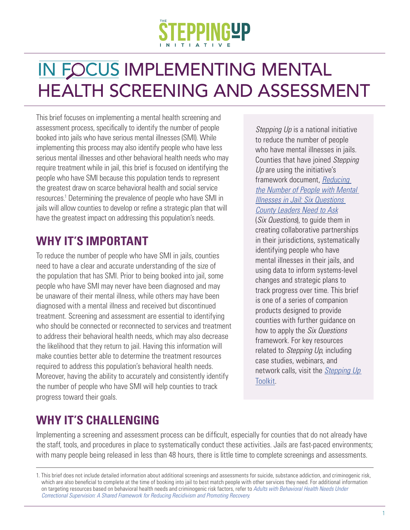# IN FOCUS IMPLEMENTING MENTAL HEALTH SCREENING AND ASSESSMENT

This brief focuses on implementing a mental health screening and assessment process, specifically to identify the number of people booked into jails who have serious mental illnesses (SMI). While implementing this process may also identify people who have less serious mental illnesses and other behavioral health needs who may require treatment while in jail, this brief is focused on identifying the people who have SMI because this population tends to represent the greatest draw on scarce behavioral health and social service resources.<sup>1</sup> Determining the prevalence of people who have SMI in jails will allow counties to develop or refine a strategic plan that will have the greatest impact on addressing this population's needs.

# **WHY IT'S IMPORTANT**

To reduce the number of people who have SMI in jails, counties need to have a clear and accurate understanding of the size of the population that has SMI. Prior to being booked into jail, some people who have SMI may never have been diagnosed and may be unaware of their mental illness, while others may have been diagnosed with a mental illness and received but discontinued treatment. Screening and assessment are essential to identifying who should be connected or reconnected to services and treatment to address their behavioral health needs, which may also decrease the likelihood that they return to jail. Having this information will make counties better able to determine the treatment resources required to address this population's behavioral health needs. Moreover, having the ability to accurately and consistently identify the number of people who have SMI will help counties to track progress toward their goals.

*Stepping Up* is a national initiative to reduce the number of people who have mental illnesses in jails. Counties that have joined *Stepping Up* are using the initiative's framework document, *Reducing [the Number of People with Mental](https://stepuptogether.org/wp-content/uploads/2017/01/Reducing-the-Number-of-People-with-Mental-Illnesses-in-Jail_Six-Questions.pdf) Illnesses in Jail: Six Questions County Leaders Need to Ask*

(*Six Questions*), to guide them in creating collaborative partnerships in their jurisdictions, systematically identifying people who have mental illnesses in their jails, and using data to inform systems-level changes and strategic plans to track progress over time. This brief is one of a series of companion products designed to provide counties with further guidance on how to apply the *Six Questions* framework. For key resources related to *Stepping Up*, including case studies, webinars, and [network calls, visit the](https://stepuptogether.org/toolkit) *Stepping Up*  Toolkit.

# **WHY IT'S CHALLENGING**

Implementing a screening and assessment process can be difficult, especially for counties that do not already have the staff, tools, and procedures in place to systematically conduct these activities. Jails are fast-paced environments; with many people being released in less than 48 hours, there is little time to complete screenings and assessments.

<sup>1.</sup> This brief does not include detailed information about additional screenings and assessments for suicide, substance addiction, and criminogenic risk, which are also beneficial to complete at the time of booking into jail to best match people with other services they need. For additional information on targeting resources based on behavioral health needs and criminogenic risk factors, refer to *Adults with Behavioral Health Needs Under Correctional Supervision: A Shared Framework for Reducing Recidivism and Promoting Recovery*.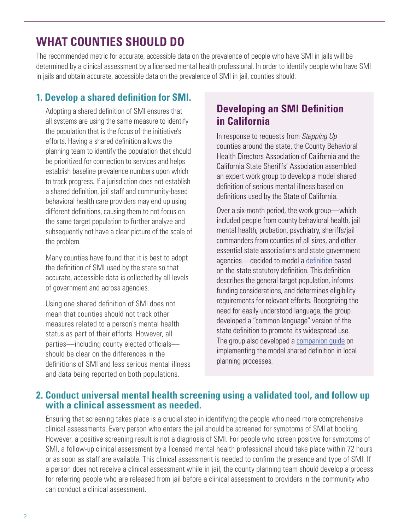# **WHAT COUNTIES SHOULD DO**

The recommended metric for accurate, accessible data on the prevalence of people who have SMI in jails will be determined by a clinical assessment by a licensed mental health professional. In order to identify people who have SMI in jails and obtain accurate, accessible data on the prevalence of SMI in jail, counties should:

#### **1. Develop a shared definition for SMI.**

Adopting a shared definition of SMI ensures that all systems are using the same measure to identify the population that is the focus of the initiative's efforts. Having a shared definition allows the planning team to identify the population that should be prioritized for connection to services and helps establish baseline prevalence numbers upon which to track progress. If a jurisdiction does not establish a shared definition, jail staff and community-based behavioral health care providers may end up using different definitions, causing them to not focus on the same target population to further analyze and subsequently not have a clear picture of the scale of the problem.

Many counties have found that it is best to adopt the definition of SMI used by the state so that accurate, accessible data is collected by all levels of government and across agencies.

Using one shared definition of SMI does not mean that counties should not track other measures related to a person's mental health status as part of their efforts. However, all parties—including county elected officials should be clear on the differences in the definitions of SMI and less serious mental illness and data being reported on both populations.

### **Developing an SMI Definition in California**

In response to requests from *Stepping Up* counties around the state, the County Behavioral Health Directors Association of California and the California State Sheriffs' Association assembled an expert work group to develop a model shared definition of serious mental illness based on definitions used by the State of California.

Over a six-month period, the work group—which included people from county behavioral health, jail mental health, probation, psychiatry, sheriffs/jail commanders from counties of all sizes, and other essential state associations and state government agencies—decided to model a [definition](https://stepuptogether.org/wp-content/uploads/2018/04/Model-Shared-Definition-of-SMI-Practical-Strategies-for-Its-Use-to-Reduce-the-Number-of-People-with-Mental-Illnesses-in-California%E2%80%99s-Jails.pdf) based on the state statutory definition. This definition describes the general target population, informs funding considerations, and determines eligibility requirements for relevant efforts. Recognizing the need for easily understood language, the group developed a "common language" version of the state definition to promote its widespread use. The group also developed a [companion guide o](https://stepuptogether.org/wp-content/uploads/2018/04/FAQs_Model-Shared-Definition-of-SMI-Practical-Strategies-for-Its-Use-to-Reduce-the-Number-of-People-with-Mental-Illnesses-in-California%E2%80%99s-Jails.pdf)n implementing the model shared definition in local planning processes.

#### **2. Conduct universal mental health screening using a validated tool, and follow up with a clinical assessment as needed.**

Ensuring that screening takes place is a crucial step in identifying the people who need more comprehensive clinical assessments. Every person who enters the jail should be screened for symptoms of SMI at booking. However, a positive screening result is not a diagnosis of SMI. For people who screen positive for symptoms of SMI, a follow-up clinical assessment by a licensed mental health professional should take place within 72 hours or as soon as staff are available. This clinical assessment is needed to confirm the presence and type of SMI. If a person does not receive a clinical assessment while in jail, the county planning team should develop a process for referring people who are released from jail before a clinical assessment to providers in the community who can conduct a clinical assessment.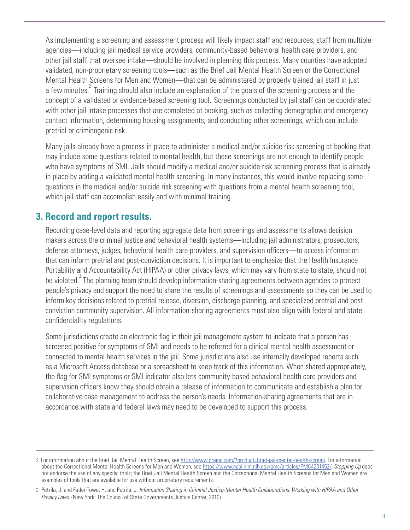As implementing a screening and assessment process will likely impact staff and resources, staff from multiple agencies—including jail medical service providers, community-based behavioral health care providers, and other jail staff that oversee intake—should be involved in planning this process. Many counties have adopted validated, non-proprietary screening tools—such as the Brief Jail Mental Health Screen or the Correctional Mental Health Screens for Men and Women—that can be administered by properly trained jail staff in just a few minutes.<sup>2</sup> Training should also include an explanation of the goals of the screening process and the concept of a validated or evidence-based screening tool. Screenings conducted by jail staff can be coordinated with other jail intake processes that are completed at booking, such as collecting demographic and emergency contact information, determining housing assignments, and conducting other screenings, which can include pretrial or criminogenic risk.

Many jails already have a process in place to administer a medical and/or suicide risk screening at booking that may include some questions related to mental health, but these screenings are not enough to identify people who have symptoms of SMI. Jails should modify a medical and/or suicide risk screening process that is already in place by adding a validated mental health screening. In many instances, this would involve replacing some questions in the medical and/or suicide risk screening with questions from a mental health screening tool, which jail staff can accomplish easily and with minimal training.

#### **3. Record and report results.**

Recording case-level data and reporting aggregate data from screenings and assessments allows decision makers across the criminal justice and behavioral health systems—including jail administrators, prosecutors, defense attorneys, judges, behavioral health care providers, and supervision officers—to access information that can inform pretrial and post-conviction decisions. It is important to emphasize that the Health Insurance Portability and Accountability Act (HIPAA) or other privacy laws, which may vary from state to state, should not be violated.<sup>3</sup> The planning team should develop information-sharing agreements between agencies to protect people's privacy and support the need to share the results of screenings and assessments so they can be used to inform key decisions related to pretrial release, diversion, discharge planning, and specialized pretrial and postconviction community supervision. All information-sharing agreements must also align with federal and state confidentiality regulations.

Some jurisdictions create an electronic flag in their jail management system to indicate that a person has screened positive for symptoms of SMI and needs to be referred for a clinical mental health assessment or connected to mental health services in the jail. Some jurisdictions also use internally developed reports such as a Microsoft Access database or a spreadsheet to keep track of this information. When shared appropriately, the flag for SMI symptoms or SMI indicator also lets community-based behavioral health care providers and supervision officers know they should obtain a release of information to communicate and establish a plan for collaborative case management to address the person's needs. Information-sharing agreements that are in accordance with state and federal laws may need to be developed to support this process.

<sup>2.</sup> For information about the Brief Jail Mental Health Screen, see [http://www.prainc.com/?product=brief-jail-mental-health-screen.](https://www.prainc.com/?product=brief-jail-mental-health-screen) For information about the Correctional Mental Health Screens for Men and Women, see [https://www.ncbi.nlm.nih.gov/pmc/articles/PMC4231452/.](https://www.ncbi.nlm.nih.gov/pmc/articles/PMC4231452/) *Stepping Up* does not endorse the use of any specific tools; the Brief Jail Mental Health Screen and the Correctional Mental Health Screens for Men and Women are examples of tools that are available for use without proprietary requirements.

<sup>3.</sup> Petrila, J. and Fader-Towe, H. and Petrila, J. *Information Sharing in Criminal Justice-Mental Health Collaborations: Working with HIPAA and Other Privacy Laws.* (New York: The Council of State Governments Justice Center, 2010).